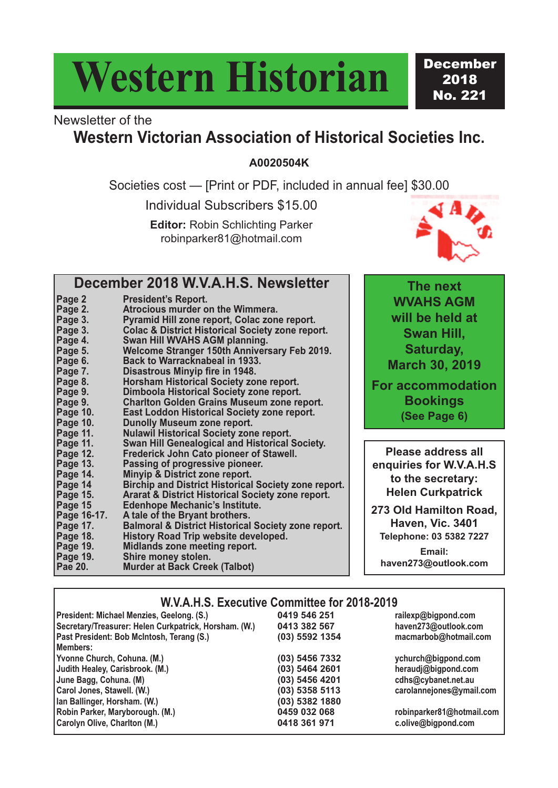# **Western Historian**

December 2018 No. 221

### Newsletter of the

#### **Western Victorian Association of Historical Societies Inc.**

**A0020504K**

Societies cost — [Print or PDF, included in annual fee] \$30.00

Individual Subscribers \$15.00

**Editor:** Robin Schlichting Parker robinparker81@hotmail.com



#### **December 2018 W.V.A.H.S. Newsletter**

| Page 2<br><b>President's Report.</b><br>Atrocious murder on the Wimmera.<br>Page 2.<br>Page 3.<br>Pyramid Hill zone report, Colac zone report.<br>Page 3.<br><b>Colac &amp; District Historical Society zone report.</b><br>Page 4.<br>Swan Hill WVAHS AGM planning.<br>Welcome Stranger 150th Anniversary Feb 2019.<br>Page 5.<br><b>Back to Warracknabeal in 1933.</b><br>Page 6.<br>Page 7.<br>Disastrous Minyip fire in 1948.<br>Page 8.<br><b>Horsham Historical Society zone report.</b><br>Page 9.<br>Dimboola Historical Society zone report.<br>Page 9.<br><b>Charlton Golden Grains Museum zone report.</b><br>Page 10.<br><b>East Loddon Historical Society zone report.</b><br>Page 10.<br>Dunolly Museum zone report.<br><b>Page 11.</b><br><b>Nulawil Historical Society zone report.</b><br><b>Swan Hill Genealogical and Historical Society.</b><br>Page 11.<br><b>Page 12.</b><br><b>Frederick John Cato pioneer of Stawell.</b><br>Passing of progressive pioneer.<br><b>Page 13.</b><br>Minyip & District zone report.<br>Page 14.<br><b>Birchip and District Historical Society zone report.</b><br>Page 14<br><b>Page 15.</b><br><b>Ararat &amp; District Historical Society zone report.</b><br>Page 15<br><b>Edenhope Mechanic's Institute.</b><br>A tale of the Bryant brothers.<br>Page 16-17.<br>Page 17.<br><b>Balmoral &amp; District Historical Society zone report.</b><br>Page 18.<br><b>History Road Trip website developed.</b><br>Midlands zone meeting report.<br><b>Page 19.</b><br><b>Page 19.</b><br>Shire money stolen.<br><b>Pae 20.</b><br><b>Murder at Back Creek (Talbot)</b> |  |
|--------------------------------------------------------------------------------------------------------------------------------------------------------------------------------------------------------------------------------------------------------------------------------------------------------------------------------------------------------------------------------------------------------------------------------------------------------------------------------------------------------------------------------------------------------------------------------------------------------------------------------------------------------------------------------------------------------------------------------------------------------------------------------------------------------------------------------------------------------------------------------------------------------------------------------------------------------------------------------------------------------------------------------------------------------------------------------------------------------------------------------------------------------------------------------------------------------------------------------------------------------------------------------------------------------------------------------------------------------------------------------------------------------------------------------------------------------------------------------------------------------------------------------------------------------------------------------------------------------------------------|--|
|                                                                                                                                                                                                                                                                                                                                                                                                                                                                                                                                                                                                                                                                                                                                                                                                                                                                                                                                                                                                                                                                                                                                                                                                                                                                                                                                                                                                                                                                                                                                                                                                                          |  |
|                                                                                                                                                                                                                                                                                                                                                                                                                                                                                                                                                                                                                                                                                                                                                                                                                                                                                                                                                                                                                                                                                                                                                                                                                                                                                                                                                                                                                                                                                                                                                                                                                          |  |
|                                                                                                                                                                                                                                                                                                                                                                                                                                                                                                                                                                                                                                                                                                                                                                                                                                                                                                                                                                                                                                                                                                                                                                                                                                                                                                                                                                                                                                                                                                                                                                                                                          |  |
|                                                                                                                                                                                                                                                                                                                                                                                                                                                                                                                                                                                                                                                                                                                                                                                                                                                                                                                                                                                                                                                                                                                                                                                                                                                                                                                                                                                                                                                                                                                                                                                                                          |  |
|                                                                                                                                                                                                                                                                                                                                                                                                                                                                                                                                                                                                                                                                                                                                                                                                                                                                                                                                                                                                                                                                                                                                                                                                                                                                                                                                                                                                                                                                                                                                                                                                                          |  |
|                                                                                                                                                                                                                                                                                                                                                                                                                                                                                                                                                                                                                                                                                                                                                                                                                                                                                                                                                                                                                                                                                                                                                                                                                                                                                                                                                                                                                                                                                                                                                                                                                          |  |
|                                                                                                                                                                                                                                                                                                                                                                                                                                                                                                                                                                                                                                                                                                                                                                                                                                                                                                                                                                                                                                                                                                                                                                                                                                                                                                                                                                                                                                                                                                                                                                                                                          |  |
|                                                                                                                                                                                                                                                                                                                                                                                                                                                                                                                                                                                                                                                                                                                                                                                                                                                                                                                                                                                                                                                                                                                                                                                                                                                                                                                                                                                                                                                                                                                                                                                                                          |  |
|                                                                                                                                                                                                                                                                                                                                                                                                                                                                                                                                                                                                                                                                                                                                                                                                                                                                                                                                                                                                                                                                                                                                                                                                                                                                                                                                                                                                                                                                                                                                                                                                                          |  |
|                                                                                                                                                                                                                                                                                                                                                                                                                                                                                                                                                                                                                                                                                                                                                                                                                                                                                                                                                                                                                                                                                                                                                                                                                                                                                                                                                                                                                                                                                                                                                                                                                          |  |
|                                                                                                                                                                                                                                                                                                                                                                                                                                                                                                                                                                                                                                                                                                                                                                                                                                                                                                                                                                                                                                                                                                                                                                                                                                                                                                                                                                                                                                                                                                                                                                                                                          |  |
|                                                                                                                                                                                                                                                                                                                                                                                                                                                                                                                                                                                                                                                                                                                                                                                                                                                                                                                                                                                                                                                                                                                                                                                                                                                                                                                                                                                                                                                                                                                                                                                                                          |  |
|                                                                                                                                                                                                                                                                                                                                                                                                                                                                                                                                                                                                                                                                                                                                                                                                                                                                                                                                                                                                                                                                                                                                                                                                                                                                                                                                                                                                                                                                                                                                                                                                                          |  |
|                                                                                                                                                                                                                                                                                                                                                                                                                                                                                                                                                                                                                                                                                                                                                                                                                                                                                                                                                                                                                                                                                                                                                                                                                                                                                                                                                                                                                                                                                                                                                                                                                          |  |
|                                                                                                                                                                                                                                                                                                                                                                                                                                                                                                                                                                                                                                                                                                                                                                                                                                                                                                                                                                                                                                                                                                                                                                                                                                                                                                                                                                                                                                                                                                                                                                                                                          |  |
|                                                                                                                                                                                                                                                                                                                                                                                                                                                                                                                                                                                                                                                                                                                                                                                                                                                                                                                                                                                                                                                                                                                                                                                                                                                                                                                                                                                                                                                                                                                                                                                                                          |  |
|                                                                                                                                                                                                                                                                                                                                                                                                                                                                                                                                                                                                                                                                                                                                                                                                                                                                                                                                                                                                                                                                                                                                                                                                                                                                                                                                                                                                                                                                                                                                                                                                                          |  |
|                                                                                                                                                                                                                                                                                                                                                                                                                                                                                                                                                                                                                                                                                                                                                                                                                                                                                                                                                                                                                                                                                                                                                                                                                                                                                                                                                                                                                                                                                                                                                                                                                          |  |
|                                                                                                                                                                                                                                                                                                                                                                                                                                                                                                                                                                                                                                                                                                                                                                                                                                                                                                                                                                                                                                                                                                                                                                                                                                                                                                                                                                                                                                                                                                                                                                                                                          |  |
|                                                                                                                                                                                                                                                                                                                                                                                                                                                                                                                                                                                                                                                                                                                                                                                                                                                                                                                                                                                                                                                                                                                                                                                                                                                                                                                                                                                                                                                                                                                                                                                                                          |  |
|                                                                                                                                                                                                                                                                                                                                                                                                                                                                                                                                                                                                                                                                                                                                                                                                                                                                                                                                                                                                                                                                                                                                                                                                                                                                                                                                                                                                                                                                                                                                                                                                                          |  |
|                                                                                                                                                                                                                                                                                                                                                                                                                                                                                                                                                                                                                                                                                                                                                                                                                                                                                                                                                                                                                                                                                                                                                                                                                                                                                                                                                                                                                                                                                                                                                                                                                          |  |
|                                                                                                                                                                                                                                                                                                                                                                                                                                                                                                                                                                                                                                                                                                                                                                                                                                                                                                                                                                                                                                                                                                                                                                                                                                                                                                                                                                                                                                                                                                                                                                                                                          |  |
|                                                                                                                                                                                                                                                                                                                                                                                                                                                                                                                                                                                                                                                                                                                                                                                                                                                                                                                                                                                                                                                                                                                                                                                                                                                                                                                                                                                                                                                                                                                                                                                                                          |  |
|                                                                                                                                                                                                                                                                                                                                                                                                                                                                                                                                                                                                                                                                                                                                                                                                                                                                                                                                                                                                                                                                                                                                                                                                                                                                                                                                                                                                                                                                                                                                                                                                                          |  |
|                                                                                                                                                                                                                                                                                                                                                                                                                                                                                                                                                                                                                                                                                                                                                                                                                                                                                                                                                                                                                                                                                                                                                                                                                                                                                                                                                                                                                                                                                                                                                                                                                          |  |
|                                                                                                                                                                                                                                                                                                                                                                                                                                                                                                                                                                                                                                                                                                                                                                                                                                                                                                                                                                                                                                                                                                                                                                                                                                                                                                                                                                                                                                                                                                                                                                                                                          |  |

**The next WVAHS AGM will be held at Swan Hill, Saturday, March 30, 2019 For accommodation Bookings**

**(See Page 6)**

**Please address all enquiries for W.V.A.H.S to the secretary: Helen Curkpatrick**

**273 Old Hamilton Road, Haven, Vic. 3401 Telephone: 03 5382 7227**

**Email: haven273@outlook.com**

#### **W.V.A.H.S. Executive Committee for 2018-2019**

| President: Michael Menzies, Geelong. (S.)             | 0419 546 251     | railexp@bigpond.com       |
|-------------------------------------------------------|------------------|---------------------------|
| Secretary/Treasurer: Helen Curkpatrick, Horsham. (W.) | 0413 382 567     | haven273@outlook.com      |
| Past President: Bob McIntosh, Terang (S.)             | (03) 5592 1354   | macmarbob@hotmail.com     |
| Members:                                              |                  |                           |
| Yvonne Church, Cohuna. (M.)                           | (03) 5456 7332   | ychurch@bigpond.com       |
| Judith Healey, Carisbrook. (M.)                       | (03) 5464 2601   | heraudj@bigpond.com       |
| June Bagg, Cohuna. (M)                                | (03) 5456 4201   | cdhs@cybanet.net.au       |
| Carol Jones, Stawell. (W.)                            | $(03)$ 5358 5113 | carolannejones@ymail.com  |
| Ian Ballinger, Horsham. (W.)                          | $(03)$ 5382 1880 |                           |
| Robin Parker, Maryborough. (M.)                       | 0459 032 068     | robinparker81@hotmail.com |
| Carolyn Olive, Charlton (M.)                          | 0418 361 971     | c.olive@bigpond.com       |
|                                                       |                  |                           |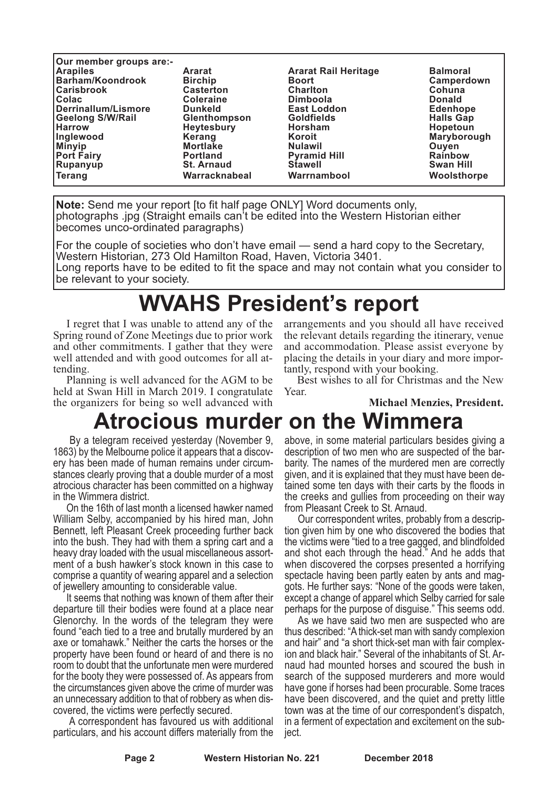| Our member groups are:- |                   |                             |                  |
|-------------------------|-------------------|-----------------------------|------------------|
| <b>Arapiles</b>         | Ararat            | <b>Ararat Rail Heritage</b> | <b>Balmoral</b>  |
| <b>Barham/Koondrook</b> | <b>Birchip</b>    | <b>Boort</b>                | Camperdown       |
| <b>Carisbrook</b>       | <b>Casterton</b>  | <b>Charlton</b>             | Cohuna           |
| <b>Colac</b>            | <b>Coleraine</b>  | <b>Dimboola</b>             | <b>Donald</b>    |
| Derrinallum/Lismore     | <b>Dunkeld</b>    | <b>East Loddon</b>          | <b>Edenhope</b>  |
| <b>Geelong S/W/Rail</b> | Glenthompson      | <b>Goldfields</b>           | <b>Halls Gap</b> |
| <b>Harrow</b>           | <b>Heytesbury</b> | <b>Horsham</b>              | <b>Hopetoun</b>  |
| Inglewood               | Kerang            | Koroit                      | Maryborough      |
| <b>Minyip</b>           | <b>Mortlake</b>   | <b>Nulawil</b>              | Ouyen            |
| <b>Port</b> Fairy       | <b>Portland</b>   | <b>Pyramid Hill</b>         | <b>Rainbow</b>   |
| Rupanyup                | <b>St. Arnaud</b> | <b>Stawell</b>              | <b>Swan Hill</b> |
| Terang                  | Warracknabeal     | Warrnambool                 | Woolsthorpe      |

**Note:** Send me your report [to fit half page ONLY] Word documents only, photographs .jpg (Straight emails can't be edited into the Western Historian either becomes unco-ordinated paragraphs)

For the couple of societies who don't have email — send a hard copy to the Secretary,<br>Western Historian, 273 Old Hamilton Road, Haven, Victoria 3401.<br>Long reports have to be edited to fit the space and may not contain what be relevant to your society.

### **WVAHS President's report**

I regret that I was unable to attend any of the Spring round of Zone Meetings due to prior work and other commitments. I gather that they were well attended and with good outcomes for all attending.

Planning is well advanced for the AGM to be held at Swan Hill in March 2019. I congratulate the organizers for being so well advanced with

arrangements and you should all have received the relevant details regarding the itinerary, venue and accommodation. Please assist everyone by placing the details in your diary and more importantly, respond with your booking.

Best wishes to all for Christmas and the New Year. **Michael Menzies, President.**

# **Atrocious murder on the Wimmera**

By a telegram received yesterday (November 9, 1863) by the Melbourne police it appears that a discovery has been made of human remains under circum-<br>stances clearly proving that a double murder of a most atrocious character has been committed on a highway

On the 16th of last month a licensed hawker named William Selby, accompanied by his hired man, John Bennett, left Pleasant Creek proceeding further back into the bush. They had with them a spring cart and a heavy dray loaded with the usual miscellaneous assort- ment of <sup>a</sup> bush hawker's stock known in this case to comprise a quantity of wearing apparel and a selection

of jewellery amounting to considerable value. It seems that nothing was known of them after their departure till their bodies were found at a place near Glenorchy. In the words of the telegram they were found "each tied to a tree and brutally murdered by an axe or tomahawk." Neither the carts the horses or the property have been found or heard of and there is no room to doubt that the unfortunate men were murdered for the booty they were possessed of. As appears from the circumstances given above the crime of murder was an unnecessary addition to that of robbery as when dis- covered, the victims were perfectly secured. <sup>A</sup> correspondent has favoured us with additional

particulars, and his account differs materially from the

above, in some material particulars besides giving a description of two men who are suspected of the bar- barity. The names of the murdered men are correctly given, and it is explained that they must have been de- tained some ten days with their carts by the floods in the creeks and gullies from proceeding on their way from Pleasant Creek to St. Arnaud.

Our correspondent writes, probably from a descrip-<br>tion given him by one who discovered the bodies that the victims were "tied to a tree gagged, and blindfolded and shot each through the head." And he adds that when discovered the corpses presented a horrifying spectacle having been partly eaten by ants and mag-<br>gots. He further says: "None of the goods were taken,<br>except a change of apparel which Selby carried for sale perhaps for the purpose of disguise." This seems odd.

As we have said two men are suspected who are thus described: "A thick-set man with sandy complexion and hair" and "a short thick-set man with fair complexion and black hair." Several of the inhabitants of St. Arnaud had mounted horses and scoured the bush in search of the supposed murderers and more would have gone if horses had been procurable. Some traces have been discovered, and the quiet and pretty little town was at the time of our correspondent's dispatch, in <sup>a</sup> ferment of expectation and excitement on the sub- ject.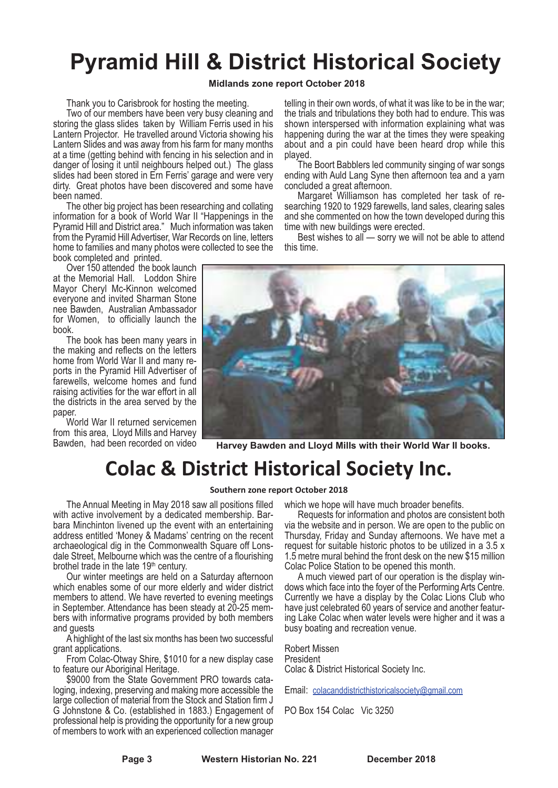### **Pyramid Hill & District Historical Society**

#### **Midlands zone report October 2018**

Thank you to Carisbrook for hosting the meeting.

Two of our members have been very busy cleaning and storing the glass slides taken by William Ferris used in his Lantern Projector. He travelled around Victoria showing his Lantern Slides and was away from his farm for many months at a time (getting behind with fencing in his selection and in danger of losing it until neighbours helped out.) The glass slides had been stored in Ern Ferris' garage and were very dirty. Great photos have been discovered and some have

been named. The other big project has been researching and collating information for a book of World War II "Happenings in the Pyramid Hill and District area." Much information was taken from the Pyramid Hill Advertiser, War Records on line, letters home to families and many photos were collected to see the book completed and printed.

Over 150 attended the book launch at the Memorial Hall. Loddon Shire Mayor Cheryl Mc-Kinnon welcomed everyone and invited Sharman Stone nee Bawden, Australian Ambassador for Women, to officially launch the book.

The book has been many years in the making and reflects on the letters home from World War II and many reports in the Pyramid Hill Advertiser of farewells, welcome homes and fund raising activities for the war effort in all the districts in the area served by the paper.

World War II returned servicemen from this area, Lloyd Mills and Harvey Bawden, had been recorded on video

telling in their own words, of what it was like to be in the war; the trials and tribulations they both had to endure. This was shown interspersed with information explaining what was happening during the war at the times they were speaking about and a pin could have been heard drop while this

played. The Boort Babblers led community singing of war songs ending with Auld Lang Syne then afternoon tea and a yarn

concluded <sup>a</sup> great afternoon. Margaret Williamson has completed her task of re- searching <sup>1920</sup> to <sup>1929</sup> farewells, land sales, clearing sales and she commented on how the town developed during this time with new buildings were erected.

Best wishes to all  $-$  sorry we will not be able to attend. this time.



**Harvey Bawden and Lloyd Mills with their World War II books.**

### **Colac & District Historical Society Inc.**

#### **Southern zone report October 2018**

The Annual Meeting in May 2018 saw all positions filled bara Minchinton livened up the event with an entertaining address entitled 'Money & Madams' centring on the recent archaeological dig in the Commonwealth Square off Lons- dale Street, Melbourne which was the centre of <sup>a</sup> flourishing brothel trade in the late 19<sup>th</sup> century.

Our winter meetings are held on a Saturday afternoon which enables some of our more elderly and wider district members to attend. We have reverted to evening meetings in September. Attendance has been steady at 20-25 members with informative programs provided by both members and guests

A highlight of the last six months has been two successful grant applications.

From Colac-Otway Shire, \$1010 for a new display case to feature our Aboriginal Heritage.

\$9000 from the State Government PRO towards cataloging, indexing, preserving and making more accessible the large collection of material from the Stock and Station firm J G Johnstone & Co. (established in 1883.) Engagement of professional help is providing the opportunity for a new group of members to work with an experienced collection manager

which we hope will have much broader benefits. Requests for information and photos are consistent both via the website and in person. We are open to the public on Thursday, Friday and Sunday afternoons. We have met a request for suitable historic photos to be utilized in a 3.5 x 1.5 metre mural behind the front desk on the new \$15 million Colac Police Station to be opened this month.

A much viewed part of our operation is the display windows which face into the foyer of the Performing Arts Centre. Currently we have a display by the Colac Lions Club who have just celebrated 60 years of service and another featuring Lake Colac when water levels were higher and it was a busy boating and recreation venue.

Robert Missen President Colac & District Historical Society Inc.

Email: colacanddistricthistoricalsociety@gmail.com

PO Box 154 Colac Vic 3250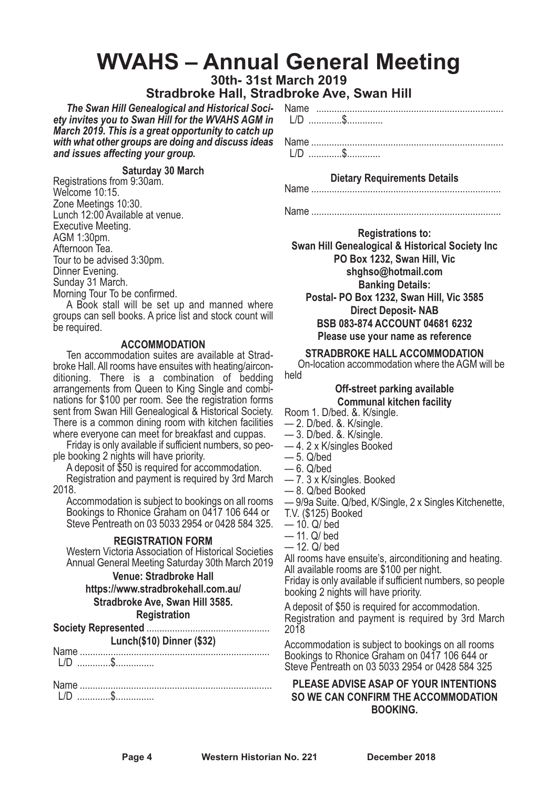### **WVAHS – Annual General Meeting**

**30th- 31st March 2019**

**Stradbroke Hall, Stradbroke Ave, Swan Hill**

*The Swan Hill Genealogical and Historical Society invites you to Swan Hill for the WVAHS AGM in March 2019. This is a great opportunity to catch up with what other groups are doing and discuss ideas and issues affecting your group.*

**Saturday 30 March** Registrations from 9:30am.

Welcome 10:15. Zone Meetings 10:30. Lunch 12:00 Available at venue. Executive Meeting. AGM 1:30pm. Afternoon Tea. Tour to be advised 3:30pm. Dinner Evening. Sunday 31 March. Morning Tour To be confirmed.

A Book stall will be set up and manned where groups can sell books. A price list and stock count will be required.

#### **ACCOMMODATION**

Ten accommodation suites are available at Stradbroke Hall. All rooms have ensuites with heating/airconditioning. There is a combination of bedding arrangements from Queen to King Single and combinations for \$100 per room. See the registration forms sent from Swan Hill Genealogical & Historical Society. There is a common dining room with kitchen facilities where everyone can meet for breakfast and cuppas.

Friday is only available if sufficient numbers, so peo-<br>ple booking 2 nights will have priority.<br>A deposit of \$50 is required for accommodation.

Registration and payment is required by 3rd March 2018.

Accommodation is subject to bookings on all rooms Bookings to Rhonice Graham on 0417 106 644 or Steve Pentreath on 03 5033 2954 or 0428 584 325.

#### **REGISTRATION FORM**

Western Victoria Association of Historical Societies Annual General Meeting Saturday 30th March 2019

#### **Venue: Stradbroke Hall https://www.stradbrokehall.com.au/ Stradbroke Ave, Swan Hill 3585.**

#### **Registration**

**Society Represented** ................................................

**Lunch(\$10) Dinner (\$32)**

Name .......................................................................... L/D .............\$...............

Name ........................................................................... L/D .............\$...............

| $L/D$ \$ |  |  |
|----------|--|--|
|          |  |  |
| $L/D$ \$ |  |  |

**Dietary Requirements Details**

|--|--|

#### **Registrations to:**

**Swan Hill Genealogical & Historical Society Inc PO Box 1232, Swan Hill, Vic shghso@hotmail.com Banking Details: Postal- PO Box 1232, Swan Hill, Vic 3585 Direct Deposit- NAB**

**BSB 083-874 ACCOUNT 04681 6232**

**Please use your name as reference**

#### **STRADBROKE HALL ACCOMMODATION**

On-location accommodation where the AGM will be held

#### **Off-street parking available Communal kitchen facility**

Room 1. D/bed. &. K/single.

- 2. D/bed. &. K/single.
- 3. D/bed. &. K/single.
- 4. 2 x K/singles Booked
- 5. Q/bed
- 6. Q/bed
- 7. 3 x K/singles. Booked
- 8. Q/bed Booked

— 9/9a Suite. Q/bed, K/Single, 2 x Singles Kitchenette,

T.V. (\$125) Booked

- $-10.$  Q/ bed
- 11. Q/ bed
- 12. Q/ bed

All rooms have ensuite's, airconditioning and heating. All available rooms are \$100 per night.

Friday is only available if sufficient numbers, so people booking 2 nights will have priority.

<sup>A</sup> deposit of \$50 is required for accommodation. Registration and payment is required by 3rd March 2018

Accommodation is subject to bookings on all rooms Bookings to Rhonice Graham on 0417 106 644 or Steve Pentreath on 03 5033 2954 or 0428 584 325

#### **PLEASE ADVISE ASAP OF YOUR INTENTIONS SO WE CAN CONFIRM THE ACCOMMODATION BOOKING.**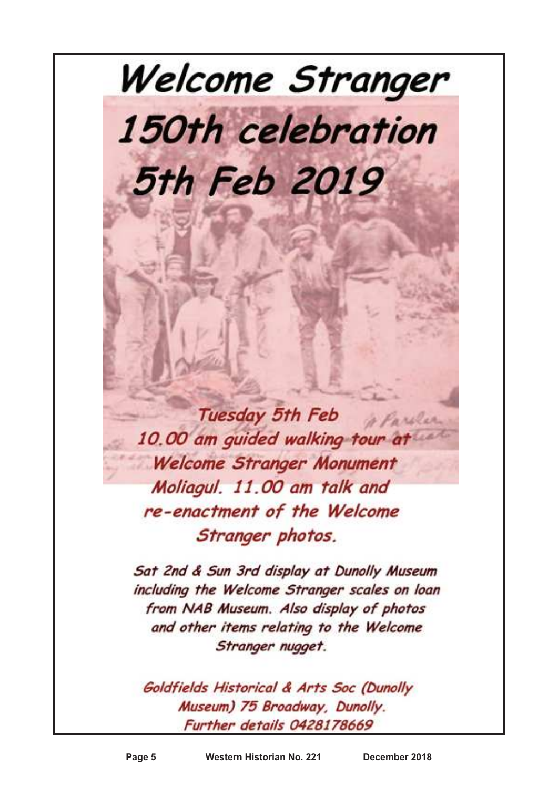# Welcome Stranger 150th celebration 5th Feb 2019

Tuesday 5th Feb 10.00 am guided walking tour at **Welcome Stranger Monument** Moliagul. 11.00 am talk and re-enactment of the Welcome Stranger photos.

Sat 2nd & Sun 3rd display at Dunolly Museum including the Welcome Stranger scales on loan from NAB Museum. Also display of photos and other items relating to the Welcome Stranger nugget.

Goldfields Historical & Arts Soc (Dunolly Museum) 75 Broadway, Dunolly. Further details 0428178669

**Page 5 Western Historian No. 221 December 2018**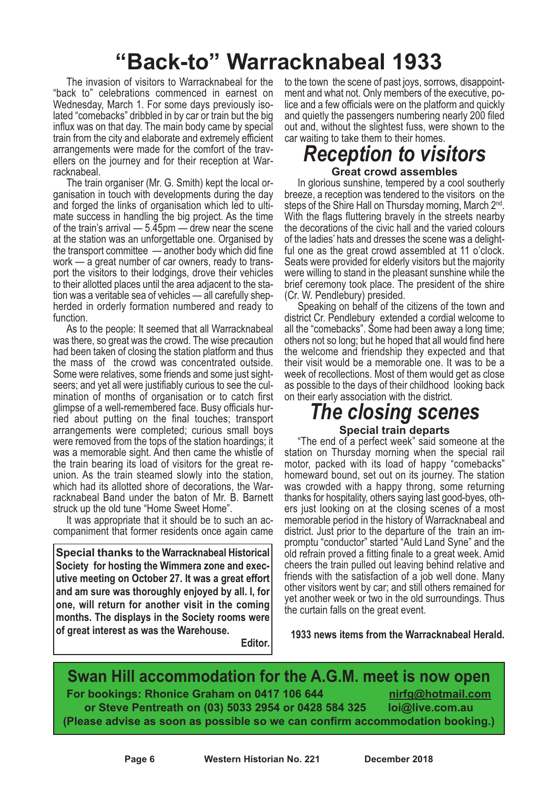### **"Back-to" Warracknabeal 1933**

The invasion of visitors to Warracknabeal for the "back to" celebrations commenced in earnest on Wednesday, March 1. For some days previously isolated "comebacks" dribbled in by car or train but the big influx was on that day. The main body came by special train from the city and elaborate and extremely efficient arrangements were made for the comfort of the travellers on the journey and for their reception at Warracknabeal.

The train organiser (Mr. G. Smith) kept the local organisation in touch with developments during the day and forged the links of organisation which led to ultimate success in handling the big project. As the time of the train's arrival  $-5.\overline{4}5$ pm  $-$  drew near the scene at the station was an unforgettable one. Organised by the transport committee — another body which did fine work — a great number of car owners, ready to transport the visitors to their lodgings, drove their vehicles to their allotted places until the area adjacent to the station was a veritable sea of vehicles — all carefully shepherded in orderly formation numbered and ready to function.

As to the people: It seemed that all Warracknabeal was there, so great was the crowd. The wise precaution had been taken of closing the station platform and thus the mass of the crowd was concentrated outside. Some were relatives, some friends and some just sightseers; and yet all were justifiably curious to see the culmination of months of organisation or to catch first glimpse of a well-remembered face. Busy officials hurried about putting on the final touches; transport arrangements were completed; curious small boys were removed from the tops of the station hoardings; it was a memorable sight. And then came the whistle of the train bearing its load of visitors for the great re- union. As the train steamed slowly into the station, which had its allotted shore of decorations, the War- racknabeal Band under the baton of Mr. B. Barnett

struck up the old tune "Home Sweet Home". It was appropriate that it should be to such an ac- companiment that former residents once again came

**Special thanks to the Warracknabeal Historical Society for hosting the Wimmera zone and executive meeting on October 27. It was a great effort and am sure was thoroughly enjoyed by all. I, for one, will return for another visit in the coming months. The displays in the Society rooms were of great interest as was the Warehouse.**

to the town the scene of past joys, sorrows, disappointment and what not. Only members of the executive, police and a few officials were on the platform and quickly and quietly the passengers numbering nearly 200 filed out and, without the slightest fuss, were shown to the car waiting to take them to their homes.

#### *Reception to visitors* **Great crowd assembles**

In glorious sunshine, tempered by a cool southerly breeze, a reception was tendered to the visitors on the steps of the Shire Hall on Thursday morning, March 2<sup>nd</sup>. With the flags fluttering bravely in the streets nearby the decorations of the civic hall and the varied colours of the ladies' hats and dresses the scene was a delightful one as the great crowd assembled at 11 o'clock. Seats were provided for elderly visitors but the majority were willing to stand in the pleasant sunshine while the brief ceremony took place. The president of the shire (Cr. W. Pendlebury) presided.

Speaking on behalf of the citizens of the town and district Cr. Pendlebury extended a cordial welcome to all the "comebacks". Some had been away a long time; others not so long; but he hoped that all would find here the welcome and friendship they expected and that their visit would be a memorable one. It was to be a week of recollections. Most of them would get as close as possible to the days of their childhood looking back on their early association with the district.

# *The closing scenes*

**Special train departs**<br>"The end of a perfect week" said someone at the station on Thursday morning when the special rail motor, packed with its load of happy "comebacks" homeward bound, set out on its journey. The station was crowded with a happy throng, some returning thanks for hospitality, others saying last good-byes, others just looking on at the closing scenes of a most memorable period in the history of Warracknabeal and district. Just prior to the departure of the train an im- promptu "conductor" started "Auld Land Syne" and the old refrain proved a fitting finale to a great week. Amid cheers the train pulled out leaving behind relative and friends with the satisfaction of a job well done. Many other visitors went by car; and still others remained for yet another week or two in the old surroundings. Thus the curtain falls on the great event.

**1933 news items from the Warracknabeal Herald.**

**Editor.**

**Swan Hill accommodation for the A.G.M. meet is now open For bookings: Rhonice Graham on 0417 106 644 nirfg@hotmail.com or Steve Pentreath on (03) 5033 2954 or 0428 584 325 loi@live.com.au (Please advise as soon as possible so we can confirm accommodation booking.)**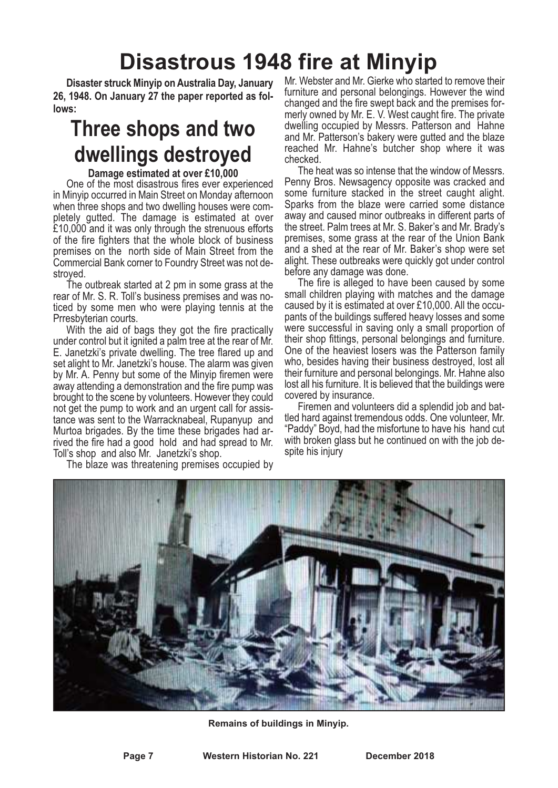### **Disastrous 1948 fire at Minyip**

**Disaster struck Minyip on Australia Day, January 26, 1948. On January 27 the paper reported as follows:**

### **Three shops and two dwellings destroyed**

#### **Damage estimated at over £10,000**

One of the most disastrous fires ever experienced in Minyip occurred in Main Street on Monday afternoon when three shops and two dwelling houses were completely gutted. The damage is estimated at over £10,000 and it was only through the strenuous efforts of the fire fighters that the whole block of business premises on the north side of Main Street from the Commercial Bank corner to Foundry Street was not destroyed.

The outbreak started at 2 pm in some grass at the rear of Mr. S. R. Toll's business premises and was no- ticed by some men who were playing tennis at the Prresbyterian courts.

With the aid of bags they got the fire practically under control but it ignited a palm tree at the rear of Mr. E. Janetzki's private dwelling. The tree flared up and set alight to Mr. Janetzki's house. The alarm was given by Mr. A. Penny but some of the Minyip firemen were away attending a demonstration and the fire pump was brought to the scene by volunteers. However they could not get the pump to work and an urgent call for assistance was sent to the Warracknabeal, Rupanyup and Murtoa brigades. By the time these brigades had arrived the fire had a good hold and had spread to Mr. Toll's shop and also Mr. Janetzki's shop.

The blaze was threatening premises occupied by

Mr. Webster and Mr. Gierke who started to remove their furniture and personal belongings. However the wind changed and the fire swept back and the premises formerly owned by Mr. E. V. West caught fire. The private dwelling occupied by Messrs. Patterson and Hahne and Mr. Patterson's bakery were gutted and the blaze reached Mr. Hahne's butcher shop where it was checked.

The heat was so intense that the window of Messrs. Penny Bros. Newsagency opposite was cracked and some furniture stacked in the street caught alight. Sparks from the blaze were carried some distance away and caused minor outbreaks in different parts of the street. Palm trees at Mr. S. Baker's and Mr. Brady's premises, some grass at the rear of the Union Bank and a shed at the rear of Mr. Baker's shop were set alight. These outbreaks were quickly got under control before any damage was done.

The fire is alleged to have been caused by some small children playing with matches and the damage caused by it is estimated at over £10,000. All the occupants of the buildings suffered heavy losses and some were successful in saving only a small proportion of their shop fittings, personal belongings and furniture. One of the heaviest losers was the Patterson family who, besides having their business destroyed, lost all their furniture and personal belongings. Mr. Hahne also lost all his furniture. It is believed that the buildings were covered by insurance.

Firemen and volunteers did a splendid job and battled hard against tremendous odds. One volunteer, Mr. "Paddy" Boyd, had the misfortune to have his hand cut with broken glass but he continued on with the job de-<br>spite his injury



**Remains of buildings in Minyip.**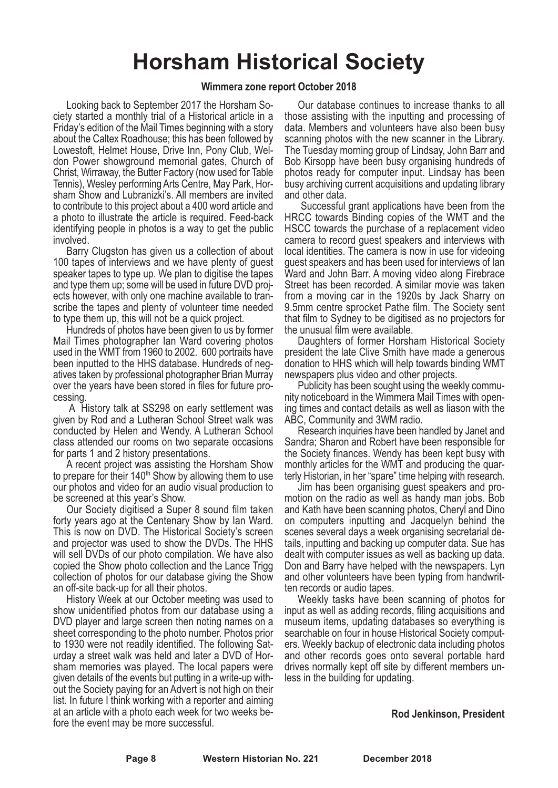### **Horsham Historical Society**

#### **Wimmera zone report October 2018**

Looking back to September <sup>2017</sup> the Horsham So- ciety started <sup>a</sup> monthly trial of <sup>a</sup> Historical article in <sup>a</sup> Friday's edition of the Mail Times beginning with a story about the Caltex Roadhouse; this has been followed by don Power showground memorial gates, Church of Christ, Wirraway, the Butter Factory (now used for Table sham Show and Lubranizki's. All members are invited to contribute to this project about a 400 word article and a photo to illustrate the article is required. Feed-back identifying people in photos is a way to get the public

Barry Clugston has given us a collection of about 100 tapes of interviews and we have plenty of guest speaker tapes to type up. We plan to digitise the tapes and type them up; some will be used in future DVD projects however, with only one machine available to tran-<br>scribe the tapes and plenty of volunteer time needed<br>to type them up, this will not be a quick project.

Hundreds of photos have been given to us by former Mail Times photographer Ian Ward covering photos used in the WMT from 1960 to 2002. 600 portraits have been inputted to the HHS database. Hundreds of neg- atives taken by professional photographer Brian Murray over the years have been stored in files for future pro-<br>cessing. <br>A History talk at SS298 on early settlement was

given by Rod and a Lutheran School Street walk was conducted by Helen and Wendy. A Lutheran School class attended our rooms on two separate occasions for parts 1 and 2 history presentations.

A recent project was assisting the Horsham Show to prepare for their  $140<sup>th</sup>$  Show by allowing them to use our photos and video for an audio visual production to be screened at this year's Show.

Our Society digitised a Super 8 sound film taken forty years ago at the Centenary Show by Ian Ward. This is now on DVD. The Historical Society's screen and projector was used to show the DVDs. The HHS will sell DVDs of our photo compilation. We have also copied the Show photo collection and the Lance Trigg collection of photos for our database giving the Show an off-site back-up for all their photos.

History Week at our October meeting was used to show unidentified photos from our database using a DVD player and large screen then noting names on a sheet corresponding to the photo number. Photos prior to <sup>1930</sup> were not readily identified. The following Sat- urday <sup>a</sup> street walk was held and later <sup>a</sup> DVD of Hor- sham memories was played. The local papers were given details of the events but putting in <sup>a</sup> write-up with- out the Society paying for an Advert is not high on their list. In future I think working with a reporter and aiming at an article with a photo each week for two weeks before the event may be more successful.

Our database continues to increase thanks to all those assisting with the inputting and processing of data. Members and volunteers have also been busy scanning photos with the new scanner in the Library. The Tuesday morning group of Lindsay, John Barr and Bob Kirsopp have been busy organising hundreds of photos ready for computer input. Lindsay has been busy archiving current acquisitions and updating library<br>and other data.

Successful grant applications have been from the HRCC towards Binding copies of the WMT and the HSCC towards the purchase of a replacement video camera to record guest speakers and interviews with local identities. The camera is now in use for videoing guest speakers and has been used for interviews of Ian Ward and John Barr. A moving video along Firebrace Street has been recorded. A similar movie was taken from a moving car in the 1920s by Jack Sharry on 9.5mm centre sprocket Pathe film. The Society sent that film to Sydney to be digitised as no projectors for

Daughters of former Horsham Historical Society president the late Clive Smith have made a generous donation to HHS which will help towards binding WMT

newspapers plus video and other projects.<br>Publicity has been sought using the weekly commu-<br>nity noticeboard in the Wimmera Mail Times with open-<br>ing times and contact details as well as liason with the

ABC, Community and 3WM radio. Research inquiries have been handled by Janet and Sandra; Sharon and Robert have been responsible for the Society finances. Wendy has been kept busy with monthly articles for the WMT and producing the quarterly Historian, in her "spare" time helping with research.

Jim has been organising guest speakers and promotion on the radio as well as handy man jobs. Bob and Kath have been scanning photos, Cheryl and Dino on computers inputting and Jacquelyn behind the scenes several days a week organising secretarial details, inputting and backing up computer data. Sue has dealt with computer issues as well as backing up data. Don and Barry have helped with the newspapers. Lyn and other volunteers have been typing from handwritten records or audio tapes.

Weekly tasks have been scanning of photos for input as well as adding records, filing acquisitions and museum items, updating databases so everything is searchable on four in house Historical Society comput- ers. Weekly backup of electronic data including photos and other records goes onto several portable hard drives normally kept off site by different members un- less in the building for updating.

**Rod Jenkinson, President**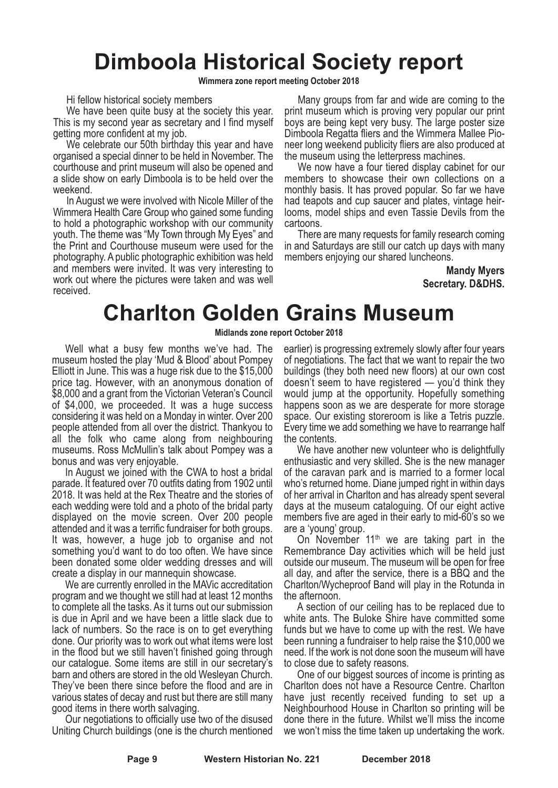### **Dimboola Historical Society report**

**Wimmera zone report meeting October 2018**

Hi fellow historical society members

We have been quite busy at the society this year. This is my second year as secretary and I find myself getting more confident at my job.

We celebrate our 50th birthday this year and have organised a special dinner to be held in November. The courthouse and print museum will also be opened and a slide show on early Dimboola is to be held over the weekend.

In August we were involved with Nicole Miller of the Wimmera Health Care Group who gained some funding to hold a photographic workshop with our community youth. The theme was "My Town through My Eyes" and the Print and Courthouse museum were used for the photography. A public photographic exhibition was held and members were invited. It was very interesting to work out where the pictures were taken and was well received.

Many groups from far and wide are coming to the print museum which is proving very popular our print boys are being kept very busy. The large poster size Dimboola Regatta fliers and the Wimmera Mallee Pioneer long weekend publicity fliers are also produced at the museum using the letterpress machines.

We now have a four tiered display cabinet for our members to showcase their own collections on a monthly basis. It has proved popular. So far we have had teapots and cup saucer and plates, vintage heirlooms, model ships and even Tassie Devils from the cartoons.

There are many requests for family research coming in and Saturdays are still our catch up days with many members enjoying our shared luncheons.

> **Mandy Myers Secretary. D&DHS.**

### **Charlton Golden Grains Museum**

**Midlands zone report October 2018**

Well what a busy few months we've had. The museum hosted the play 'Mud & Blood' about Pompey Elliott in June. This was a huge risk due to the \$15,000 price tag. However, with an anonymous donation of \$8,000 and a grant from the Victorian Veteran's Council of \$4,000, we proceeded. It was a huge success considering it was held on a Monday in winter. Over 200 people attended from all over the district. Thankyou to all the folk who came along from neighbouring museums. Ross McMullin's talk about Pompey was a

bonus and was very enjoyable. In August we joined with the CWA to host <sup>a</sup> bridal parade. It featured over 70 outfits dating from 1902 until 2018. It was held at the Rex Theatre and the stories of each wedding were told and a photo of the bridal party displayed on the movie screen. Over 200 people attended and it was a terrific fundraiser for both groups. It was, however, a huge job to organise and not something you'd want to do too often. We have since been donated some older wedding dresses and will create a display in our mannequin showcase.

We are currently enrolled in the MAVic accreditation program and we thought we still had at least 12 months to complete all the tasks. As it turns out our submission is due in April and we have been a little slack due to lack of numbers. So the race is on to get everything done. Our priority was to work out what items were lost in the flood but we still haven't finished going through our catalogue. Some items are still in our secretary's barn and others are stored in the old Wesleyan Church. They've been there since before the flood and are in various states of decay and rust but there are still many good items in there worth salvaging.

Our negotiations to officially use two of the disused Uniting Church buildings (one is the church mentioned earlier) is progressing extremely slowly after four years of negotiations. The fact that we want to repair the two buildings (they both need new floors) at our own cost doesn't seem to have registered — you'd think they would jump at the opportunity. Hopefully something happens soon as we are desperate for more storage space. Our existing storeroom is like a Tetris puzzle. Every time we add something we have to rearrange half

the contents. We have another new volunteer who is delightfully enthusiastic and very skilled. She is the new manager of the caravan park and is married to a former local who's returned home. Diane jumped right in within days of her arrival in Charlton and has already spent several days at the museum cataloguing. Of our eight active members five are aged in their early to mid-60's so we are a 'young' group.

On November 11<sup>th</sup> we are taking part in the Remembrance Day activities which will be held just outside our museum. The museum will be open for free all day, and after the service, there is a BBQ and the Charlton/Wycheproof Band will play in the Rotunda in the afternoon.

A section of our ceiling has to be replaced due to white ants. The Buloke Shire have committed some funds but we have to come up with the rest. We have been running a fundraiser to help raise the \$10,000 we need. If the work is not done soon the museum will have to close due to safety reasons.

One of our biggest sources of income is printing as Charlton does not have a Resource Centre. Charlton have just recently received funding to set up a Neighbourhood House in Charlton so printing will be done there in the future. Whilst we'll miss the income we won't miss the time taken up undertaking the work.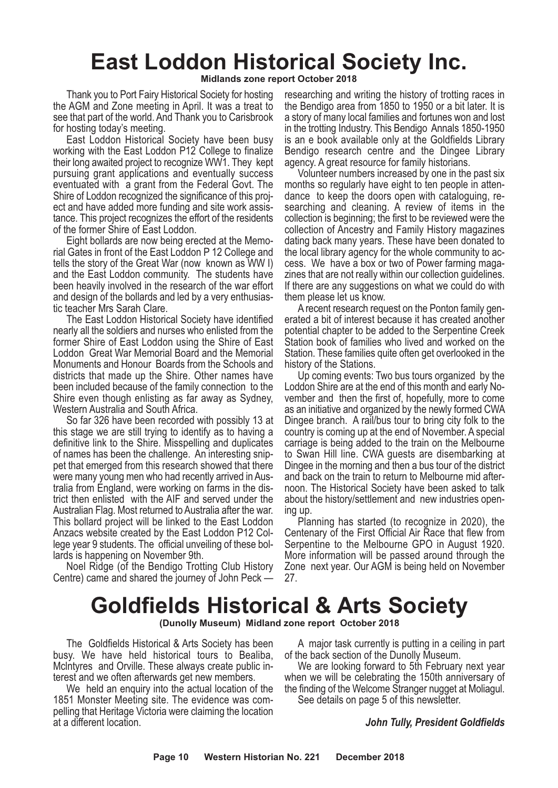### **East Loddon Historical Society Inc.**

**Midlands zone report October 2018**

Thank you to Port Fairy Historical Society for hosting the AGM and Zone meeting in April. It was a treat to see that part of the world. And Thank you to Carisbrook

for hosting today's meeting. East Loddon Historical Society have been busy working with the East Loddon P12 College to finalize their long awaited project to recognize WW1. They kept pursuing grant applications and eventually success eventuated with a grant from the Federal Govt. The Shire of Loddon recognized the significance of this project and have added more funding and site work assistance. This project recognizes the effort of the residents of the former Shire of East Loddon.

of the former Shire of East Loddon. Eight bollards are now being erected at the Memo- rial Gates in front of the East Loddon <sup>P</sup> <sup>12</sup> College and tells the story of the Great War (now known as WW I) and the East Loddon community. The students have been heavily involved in the research of the war effort and design of the bollards and led by <sup>a</sup> very enthusias- tic teacher Mrs Sarah Clare. The East Loddon Historical Society have identified

nearly all the soldiers and nurses who enlisted from the former Shire of East Loddon using the Shire of East Loddon Great War Memorial Board and the Memorial Monuments and Honour Boards from the Schools and districts that made up the Shire. Other names have been included because of the family connection to the Shire even though enlisting as far away as Sydney,<br>Western Australia and South Africa.<br>So far 326 have been recorded with possibly 13 at

this stage we are still trying to identify as to having a definitive link to the Shire. Misspelling and duplicates of names has been the challenge. An interesting snip- pet that emerged from this research showed that there were many young men who had recently arrived in Australia from England, were working on farms in the district then enlisted with the AIF and served under the Australian Flag. Most returned to Australia after the war. This bollard project will be linked to the East Loddon Anzacs website created by the East Loddon P12 College year 9 students. The official unveiling of these bollards is happening on November 9th.

Noel Ridge (of the Bendigo Trotting Club History Centre) came and shared the journey of John Peck — researching and writing the history of trotting races in the Bendigo area from 1850 to 1950 or a bit later. It is a story of many local families and fortunes won and lost in the trotting Industry. This Bendigo Annals 1850-1950 is an e book available only at the Goldfields Library Bendigo research centre and the Dingee Library

agency. <sup>A</sup> great resource for family historians. Volunteer numbers increased by one in the past six months so regularly have eight to ten people in atten- dance to keep the doors open with cataloguing, re- searching and cleaning. <sup>A</sup> review of items in the collection is beginning; the first to be reviewed were the collection of Ancestry and Family History magazines dating back many years. These have been donated to the local library agency for the whole community to access. We have a box or two of Power farming magazines that are not really within our collection guidelines. If there are any suggestions on what we could do with

them please let us know. <sup>A</sup> recent research request on the Ponton family gen- erated <sup>a</sup> bit of interest because it has created another potential chapter to be added to the Serpentine Creek Station book of families who lived and worked on the Station. These families quite often get overlooked in the

history of the Stations. Up coming events: Two bus tours organized by the Loddon Shire are at the end of this month and early No- vember and then the first of, hopefully, more to come as an initiative and organized by the newly formed CWA Dingee branch. A rail/bus tour to bring city folk to the country is coming up at the end of November. A special carriage is being added to the train on the Melbourne to Swan Hill line. CWA guests are disembarking at Dingee in the morning and then a bus tour of the district and back on the train to return to Melbourne mid afternoon. The Historical Society have been asked to talk about the history/settlement and new industries opening up.

Planning has started (to recognize in 2020), the Centenary of the First Official Air Race that flew from Serpentine to the Melbourne GPO in August 1920. More information will be passed around through the Zone next year. Our AGM is being held on November 27.

### **Goldfields Historical & Arts Society**

**(Dunolly Museum) Midland zone report October 2018**

The Goldfields Historical & Arts Society has been busy. We have held historical tours to Bealiba, Mclntyres and Orville. These always create public interest and we often afterwards get new members.

We held an enquiry into the actual location of the 1851 Monster Meeting site. The evidence was compelling that Heritage Victoria were claiming the location at a different location.

A major task currently is putting in a ceiling in part of the back section of the Dunolly Museum.

We are looking forward to 5th February next year when we will be celebrating the 150th anniversary of the finding of the Welcome Stranger nugget at Moliagul. See details on page 5 of this newsletter.

*John Tully, President Goldfields*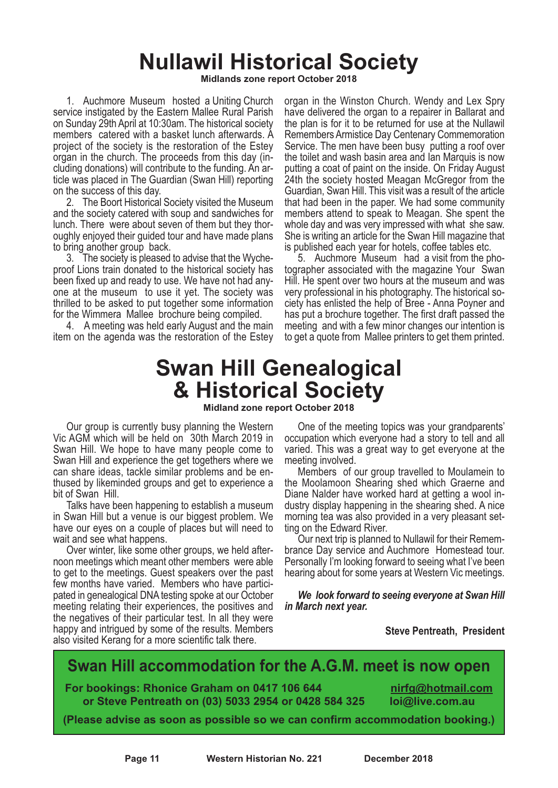### **Nullawil Historical Society**

**Midlands zone report October 2018**

1. Auchmore Museum hosted a Uniting Church service instigated by the Eastern Mallee Rural Parish on Sunday 29th April at 10:30am. The historical society members catered with a basket lunch afterwards. A project of the society is the restoration of the Estey organ in the church. The proceeds from this day (including donations) will contribute to the funding. An article was placed in The Guardian (Swan Hill) reporting on the success of this day.

2. The Boort Historical Society visited the Museum and the society catered with soup and sandwiches for lunch. There were about seven of them but they thoroughly enjoyed their guided tour and have made plans to bring another group back.

3. The society is pleased to advise that the Wycheproof Lions train donated to the historical society has been fixed up and ready to use. We have not had anyone at the museum to use it yet. The society was thrilled to be asked to put together some information for the Wimmera Mallee brochure being compiled.

4. A meeting was held early August and the main item on the agenda was the restoration of the Estey organ in the Winston Church. Wendy and Lex Spry have delivered the organ to a repairer in Ballarat and the plan is for it to be returned for use at the Nullawil Remembers Armistice Day Centenary Commemoration Service. The men have been busy putting a roof over the toilet and wash basin area and Ian Marquis is now putting a coat of paint on the inside. On Friday August 24th the society hosted Meagan McGregor from the Guardian, Swan Hill. This visit was a result of the article that had been in the paper. We had some community members attend to speak to Meagan. She spent the whole day and was very impressed with what she saw. She is writing an article for the Swan Hill magazine that is published each year for hotels, coffee tables etc.

5. Auchmore Museum had a visit from the photographer associated with the magazine Your Swan Hill. He spent over two hours at the museum and was very professional in his photography. The historical society has enlisted the help of Bree - Anna Poyner and has put a brochure together. The first draft passed the meeting and with a few minor changes our intention is to get a quote from Mallee printers to get them printed.

### **Swan Hill Genealogical & Historical Society**

**Midland zone report October 2018**

Our group is currently busy planning the Western Vic AGM which will be held on 30th March 2019 in Swan Hill. We hope to have many people come to Swan Hill and experience the get togethers where we can share ideas, tackle similar problems and be enthused by likeminded groups and get to experience a bit of Swan Hill.

Talks have been happening to establish a museum in Swan Hill but a venue is our biggest problem. We have our eyes on a couple of places but will need to wait and see what happens.

Over winter, like some other groups, we held afternoon meetings which meant other members were able to get to the meetings. Guest speakers over the past few months have varied. Members who have participated in genealogical DNA testing spoke at our October meeting relating their experiences, the positives and the negatives of their particular test. In all they were happy and intrigued by some of the results. Members also visited Kerang for a more scientific talk there.

One of the meeting topics was your grandparents' occupation which everyone had a story to tell and all varied. This was a great way to get everyone at the meeting involved.

Members of our group travelled to Moulamein to the Moolamoon Shearing shed which Graerne and Diane Nalder have worked hard at getting a wool industry display happening in the shearing shed. A nice morning tea was also provided in a very pleasant set-

Our next trip is planned to Nullawil for their Remem-<br>brance Day service and Auchmore Homestead tour. Personally I'm looking forward to seeing what I've been hearing about for some years at Western Vic meetings.

*We look forward to seeing everyone at Swan Hill in March next year.*

**Steve Pentreath, President**

**Swan Hill accommodation for the A.G.M. meet is now open**

**For bookings: Rhonice Graham on 0417 106 644 nirfg@hotmail.com or Steve Pentreath on (03) 5033 2954 or 0428 584 325 loi@live.com.au**

**(Please advise as soon as possible so we can confirm accommodation booking.)**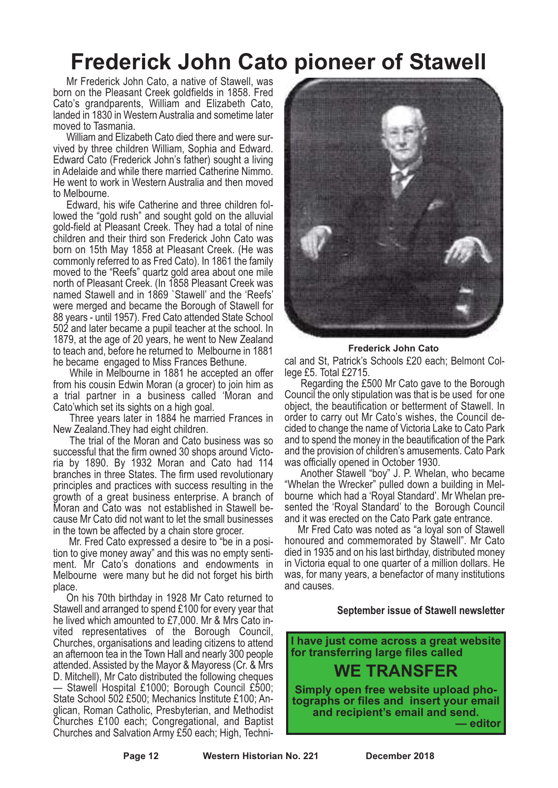### **Frederick John Cato pioneer of Stawell**

Mr Frederick John Cato, a native of Stawell, was born on the Pleasant Creek goldfields in 1858. Fred Cato's grandparents, William and Elizabeth Cato, landed in 1830 in Western Australia and sometime later moved to Tasmania.

William and Elizabeth Cato died there and were survived by three children William, Sophia and Edward. Edward Cato (Frederick John's father) sought a living in Adelaide and while there married Catherine Nimmo. He went to work in Western Australia and then moved to Melbourne.

Edward, his wife Catherine and three children followed the "gold rush" and sought gold on the alluvial gold-field at Pleasant Creek. They had a total of nine children and their third son Frederick John Cato was born on 15th May 1858 at Pleasant Creek. (He was commonly referred to as Fred Cato). In 1861 the family moved to the "Reefs" quartz gold area about one mile north of Pleasant Creek. (In 1858 Pleasant Creek was named Stawell and in 1869 `Stawell' and the 'Reefs' were merged and became the Borough of Stawell for 88 years - until 1957). Fred Cato attended State School 502 and later became a pupil teacher at the school. In 1879, at the age of 20 years, he went to New Zealand to teach and, before he returned to Melbourne in 1881 he became engaged to Miss Frances Bethune.

While in Melbourne in 1881 he accepted an offer from his cousin Edwin Moran (a grocer) to join him as a trial partner in a business called 'Moran and Cato'which set its sights on a high goal.

Three years later in 1884 he married Frances in New Zealand.They had eight children. The trial of the Moran and Cato business was so

successful that the firm owned 30 shops around Victoria by 1890. By 1932 Moran and Cato had 114 branches in three States. The firm used revolutionary principles and practices with success resulting in the growth of a great business enterprise. A branch of Moran and Cato was not established in Stawell because Mr Cato did not want to let the small businesses in the town be affected by a chain store grocer.

Mr. Fred Cato expressed a desire to "be in a position to give money away" and this was no empty sentiment. Mr Cato's donations and endowments in Melbourne were many but he did not forget his birth place.

On his 70th birthday in 1928 Mr Cato returned to Stawell and arranged to spend £100 for every year that he lived which amounted to £7,000. Mr & Mrs Cato invited representatives of the Borough Council, Churches, organisations and leading citizens to attend an afternoon tea in the Town Hall and nearly 300 people attended. Assisted by the Mayor & Mayoress (Cr. & Mrs D. Mitchell), Mr Cato distributed the following cheques — Stawell Hospital £1000; Borough Council £500; State School 502 £500; Mechanics Institute £100; Anglican, Roman Catholic, Presbyterian, and Methodist Churches £100 each; Congregational, and Baptist Churches and Salvation Army £50 each; High, Techni-



**Frederick John Cato**

cal and St, Patrick's Schools £20 each; Belmont College £5. Total £2715.

Regarding the £500 Mr Cato gave to the Borough Council the only stipulation was that is be used for one object, the beautification or betterment of Stawell. In order to carry out Mr Cato's wishes, the Council decided to change the name of Victoria Lake to Cato Park and to spend the money in the beautification of the Park and the provision of children's amusements. Cato Park

was officially opened in October 1930.<br>
Another Stawell "boy" J. P. Whelan, who became<br>
"Whelan the Wrecker" pulled down a building in Mel-<br>
bourne which had a 'Royal Standard'. Mr Whelan pre-<br>
sented the 'Royal Standard'

Mr Fred Cato was noted as "a loyal son of Stawell honoured and commemorated by Stawell". Mr Cato died in 1935 and on his last birthday, distributed money in Victoria equal to one quarter of a million dollars. He was, for many years, a benefactor of many institutions and causes.

#### **September issue of Stawell newsletter**

**I have just come across a great website for transferring large files called WE TRANSFER Simply open free website upload pho- tographs or files and insert your email and recipient's email and send. — editor**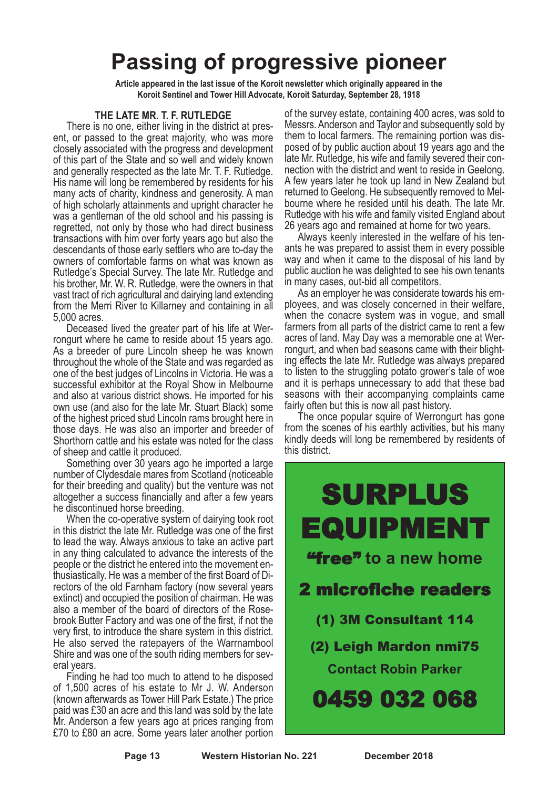### **Passing of progressive pioneer**

**Article appeared in the last issue of the Koroit newsletter which originally appeared in the Koroit Sentinel and Tower Hill Advocate, Koroit Saturday, September 28, 1918**

#### **THE LATE MR. T. F. RUTLEDGE**

There is no one, either living in the district at present, or passed to the great majority, who was more closely associated with the progress and development of this part of the State and so well and widely known and generally respected as the late Mr. T. F. Rutledge. His name will long be remembered by residents for his many acts of charity, kindness and generosity. A man of high scholarly attainments and upright character he was a gentleman of the old school and his passing is regretted, not only by those who had direct business transactions with him over forty years ago but also the descendants of those early settlers who are to-day the owners of comfortable farms on what was known as Rutledge's Special Survey. The late Mr. Rutledge and his brother, Mr. W. R. Rutledge, were the owners in that vast tract of rich agricultural and dairying land extending from the Merri River to Killarney and containing in all 5,000 acres.

Deceased lived the greater part of his life at Werrongurt where he came to reside about 15 years ago. As a breeder of pure Lincoln sheep he was known throughout the whole of the State and was regarded as one of the best judges of Lincolns in Victoria. He was a successful exhibitor at the Royal Show in Melbourne and also at various district shows. He imported for his own use (and also for the late Mr. Stuart Black) some of the highest priced stud Lincoln rams brought here in those days. He was also an importer and breeder of Shorthorn cattle and his estate was noted for the class of sheep and cattle it produced.

Something over 30 years ago he imported a large number of Clydesdale mares from Scotland (noticeable for their breeding and quality) but the venture was not altogether a success financially and after a few years he discontinued horse breeding.

When the co-operative system of dairying took root in this district the late Mr. Rutledge was one of the first to lead the way. Always anxious to take an active part in any thing calculated to advance the interests of the people or the district he entered into the movement enthusiastically. He was a member of the first Board of Directors of the old Farnham factory (now several years extinct) and occupied the position of chairman. He was also a member of the board of directors of the Rosebrook Butter Factory and was one of the first, if not the very first, to introduce the share system in this district. He also served the ratepayers of the Warrnambool Shire and was one of the south riding members for several years.<br>Finding he had too much to attend to he disposed

of 1,500 acres of his estate to Mr J. W. Anderson (known afterwards as Tower Hill Park Estate.) The price paid was £30 an acre and this land was sold by the late Mr. Anderson a few years ago at prices ranging from £70 to £80 an acre. Some years later another portion of the survey estate, containing 400 acres, was sold to Messrs. Anderson and Taylor and subsequently sold by them to local farmers. The remaining portion was disposed of by public auction about 19 years ago and the late Mr. Rutledge, his wife and family severed their con-<br>nection with the district and went to reside in Geelong.<br>A few years later he took up land in New Zealand but<br>returned to Geelong. He subsequently removed to Melbourne where he resided until his death. The late Mr. Rutledge with his wife and family visited England about 26 years ago and remained at home for two years.

Always keenly interested in the welfare of his tenants he was prepared to assist them in every possible way and when it came to the disposal of his land by public auction he was delighted to see his own tenants in many cases, out-bid all competitors.

As an employer he was considerate towards his employees, and was closely concerned in their welfare, when the conacre system was in vogue, and small farmers from all parts of the district came to rent a few acres of land. May Day was a memorable one at Werrongurt, and when bad seasons came with their blighting effects the late Mr. RutIedge was always prepared to listen to the struggling potato grower's tale of woe and it is perhaps unnecessary to add that these bad seasons with their accompanying complaints came fairly often but this is now all past history.

The once popular squire of Werrongurt has gone from the scenes of his earthly activities, but his many kindly deeds will long be remembered by residents of this district.

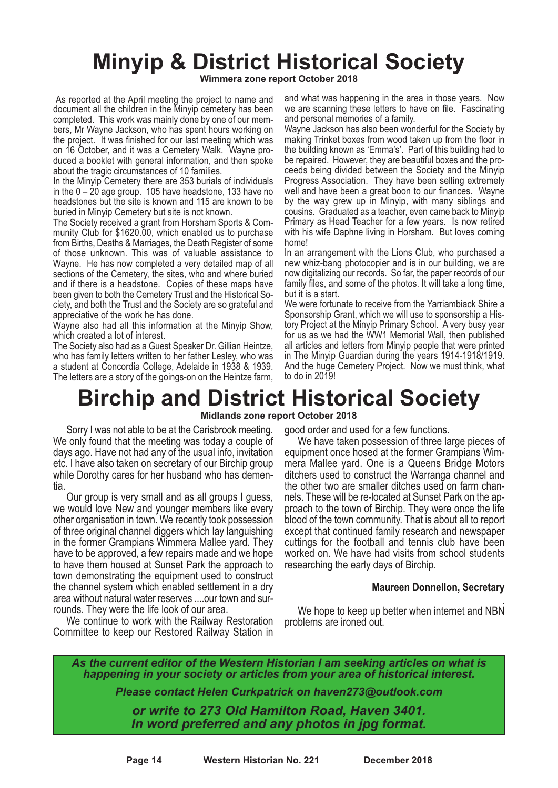### **Minyip & District Historical Society**

**Wimmera zone report October 2018**

As reported at the April meeting the project to name and document all the children in the Minyip cemetery has been completed. This work was mainly done by one of our members, Mr Wayne Jackson, who has spent hours working on the project. It was finished for our last meeting which was on 16 October, and it was a Cemetery Walk. Wayne produced a booklet with general information, and then spoke about the tragic circumstances of 10 families.

In the Minyip Cemetery there are 353 burials of individuals in the  $0 - 20$  age group. 105 have headstone, 133 have no headstones but the site is known and 115 are known to be buried in Minyip Cemetery but site is not known.

The Society received a grant from Horsham Sports & Community Club for \$1620.00, which enabled us to purchase from Births, Deaths & Marriages, the Death Register of some of those unknown. This was of valuable assistance to Wayne. He has now completed a very detailed map of all sections of the Cemetery, the sites, who and where buried and if there is a headstone. Copies of these maps have been given to both the Cemetery Trust and the Historical Society, and both the Trust and the Society are so grateful and appreciative of the work he has done.

Wayne also had all this information at the Minyip Show, which created a lot of interest.

The Society also had as a Guest Speaker Dr. Gillian Heintze, who has family letters written to her father Lesley, who was a student at Concordia College, Adelaide in 1938 & 1939. The letters are a story of the goings-on on the Heintze farm, and what was happening in the area in those years. Now we are scanning these letters to have on file. Fascinating and personal memories of a family.

Wayne Jackson has also been wonderful for the Society by making Trinket boxes from wood taken up from the floor in the building known as 'Emma's'. Part of this building had to be repaired. However, they are beautiful boxes and the proceeds being divided between the Society and the Minyip Progress Association. They have been selling extremely well and have been a great boon to our finances. Wayne by the way grew up in Minyip, with many siblings and cousins. Graduated as a teacher, even came back to Minyip Primary as Head Teacher for a few years. Is now retired with his wife Daphne living in Horsham. But loves coming home!

In an arrangement with the Lions Club, who purchased a new whiz-bang photocopier and is in our building, we are now digitalizing our records. So far, the paper records of our family files, and some of the photos. It will take a long time, but it is a start.

We were fortunate to receive from the Yarriambiack Shire a Sponsorship Grant, which we will use to sponsorship a History Project at the Minyip Primary School. A very busy year for us as we had the WW1 Memorial Wall, then published all articles and letters from Minyip people that were printed in The Minyip Guardian during the years 1914-1918/1919. And the huge Cemetery Project. Now we must think, what to do in 2019!

### **Birchip and District Historical Society**

#### **Midlands zone report October 2018**

Sorry I was not able to be at the Carisbrook meeting. We only found that the meeting was today a couple of days ago. Have not had any of the usual info, invitation etc. I have also taken on secretary of our Birchip group while Dorothy cares for her husband who has dementia.

Our group is very small and as all groups I guess, we would love New and younger members like every other organisation in town. We recently took possession of three original channel diggers which lay languishing in the former Grampians Wimmera Mallee yard. They have to be approved, a few repairs made and we hope to have them housed at Sunset Park the approach to town demonstrating the equipment used to construct the channel system which enabled settlement in a dry area without natural water reserves ....our town and sur-

rounds. They were the life look of our area. We continue to work with the Railway Restoration Committee to keep our Restored Railway Station in

good order and used for a few functions.

We have taken possession of three large pieces of equipment once hosed at the former Grampians Wimmera Mallee yard. One is a Queens Bridge Motors ditchers used to construct the Warranga channel and the other two are smaller ditches used on farm channels. These will be re-located at Sunset Park on the approach to the town of Birchip. They were once the life blood of the town community. That is about all to report except that continued family research and newspaper cuttings for the football and tennis club have been worked on. We have had visits from school students researching the early days of Birchip.

#### **Maureen Donnellon, Secretary**

**.** We hope to keep up better when internet and NBN problems are ironed out.

*As the current editor of the Western Historian I am seeking articles on what is happening in your society or articles from your area of historical interest.*

*Please contact Helen Curkpatrick on haven273@outlook.com*

*or write to 273 Old Hamilton Road, Haven 3401. In word preferred and any photos in jpg format.*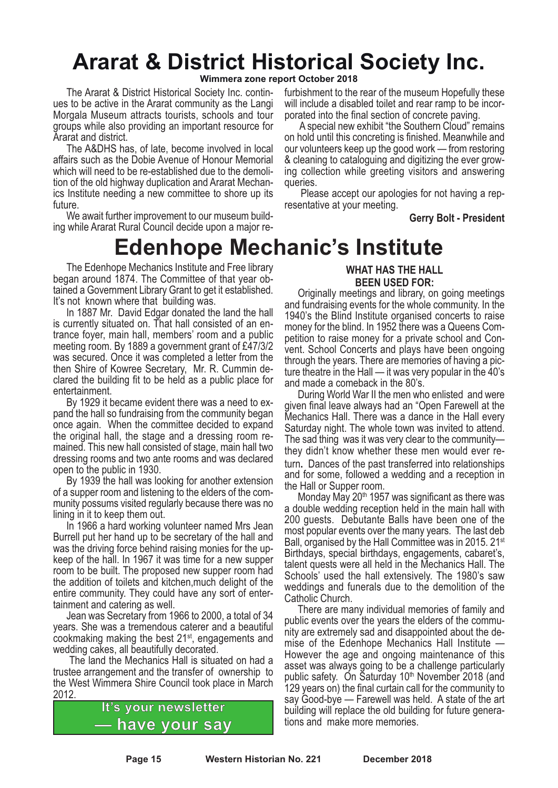### **Ararat & District Historical Society Inc.**

**Wimmera zone report October 2018**

The Ararat & District Historical Society Inc. continues to be active in the Ararat community as the Langi Morgala Museum attracts tourists, schools and tour groups while also providing an important resource for Ararat and district.

The A&DHS has, of late, become involved in local affairs such as the Dobie Avenue of Honour Memorial which will need to be re-established due to the demolition of the old highway duplication and Ararat Mechanics Institute needing a new committee to shore up its future.

We await further improvement to our museum building while Ararat Rural Council decide upon a major re-

furbishment to the rear of the museum Hopefully these will include a disabled toilet and rear ramp to be incorporated into the final section of concrete paving.

A special new exhibit "the Southern Cloud" remains on hold until this concreting is finished. Meanwhile and our volunteers keep up the good work — from restoring & cleaning to cataloguing and digitizing the ever growing collection while greeting visitors and answering queries.

Please accept our apologies for not having a representative at your meeting.

#### **Gerry Bolt - President**

### **Edenhope Mechanic's Institute**

The Edenhope Mechanics Institute and Free library began around 1874. The Committee of that year obtained a Government Library Grant to get it established. It's not known where that building was. In 1887 Mr. David Edgar donated the land the hall

is currently situated on. That hall consisted of an en- trance foyer, main hall, members' room and <sup>a</sup> public meeting room. By 1889 a government grant of £47/3/2 was secured. Once it was completed a letter from the then Shire of Kowree Secretary, Mr. R. Cummin de- clared the building fit to be held as <sup>a</sup> public place for

entertainment.<br>By 1929 it became evident there was a need to ex-<br>pand the hall so fundraising from the community began once again. When the committee decided to expand the original hall, the stage and a dressing room remained. This new hall consisted of stage, main hall two dressing rooms and two ante rooms and was declared open to the public in 1930.

By 1939 the hall was looking for another extension of a supper room and listening to the elders of the community possums visited regularly because there was no lining in it to keep them out.

In 1966 a hard working volunteer named Mrs Jean Burrell put her hand up to be secretary of the hall and was the driving force behind raising monies for the upkeep of the hall. In 1967 it was time for a new supper room to be built. The proposed new supper room had the addition of toilets and kitchen,much delight of the entire community. They could have any sort of enter-

tainment and catering as well.<br>Jean was Secretary from 1966 to 2000, a total of 34 years. She was a tremendous caterer and a beautiful cookmaking making the best 21<sup>st</sup>, engagements and wedding cakes, all beautifully decorated.

The land the Mechanics Hall is situated on had a trustee arrangement and the transfer of ownership to the West Wimmera Shire Council took place in March 2012.

> **It's your newsletter — have your say**

#### **WHAT HAS THE HALL BEEN USED FOR:**

Originally meetings and library, on going meetings and fundraising events for the whole community. In the 1940's the Blind Institute organised concerts to raise money for the blind. In 1952 there was a Queens Competition to raise money for a private school and Convent. School Concerts and plays have been ongoing through the years. There are memories of having a picture theatre in the Hall — it was very popular in the 40's and made a comeback in the 80's.

During World War II the men who enlisted and were given final leave always had an "Open Farewell at the Mechanics Hall. There was a dance in the Hall every Saturday night. The whole town was invited to attend. The sad thing was it was very clear to the community— they didn't know whether these men would ever return**.** Dances of the past transferred into relationships and for some, followed a wedding and a reception in the Hall or Supper room.

Monday May  $20<sup>th</sup>$  1957 was significant as there was a double wedding reception held in the main hall with 200 guests. Debutante Balls have been one of the most popular events over the many years. The last deb Ball, organised by the Hall Committee was in 2015. 21<sup>st</sup> Birthdays, special birthdays, engagements, cabaret's,<br>talent quests were all held in the Mechanics Hall. The Schools' used the hall extensively. The 1980's saw weddings and funerals due to the demolition of the

Catholic Church. There are many individual memories of family and public events over the years the elders of the commu- nity are extremely sad and disappointed about the demise of the Edenhope Mechanics Hall Institute — However the age and ongoing maintenance of this asset was always going to be a challenge particularly public safety. On Saturday 10<sup>th</sup> November 2018 (and 129 years on) the final curtain call for the community to say Good-bye — Farewell was held. A state of the art building will replace the old building for future generations and make more memories.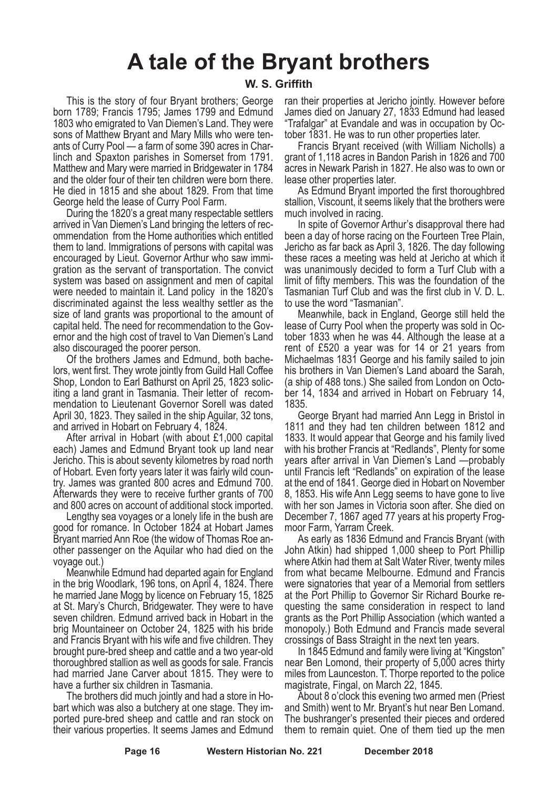### **A tale of the Bryant brothers**

#### **W. S. Griffith**

This is the story of four Bryant brothers; George born 1789; Francis 1795; James 1799 and Edmund 1803 who emigrated to Van Diemen's Land. They were sons of Matthew Bryant and Mary Mills who were tenants of Curry Pool — a farm of some 390 acres in Char-<br>linch and Spaxton parishes in Somerset from 1791.<br>Matthew and Mary were married in Bridgewater in 1784<br>and the older four of their ten children were born there. He died in 1815 and she about 1829. From that time.<br>George held the lease of Curry Pool Farm.

During the 1820's a great many respectable settlers<br>arrived in Van Diemen's Land bringing the letters of recommendation from the Home authorities which entitled them to land. Immigrations of persons with capital was encouraged by Lieut. Governor Arthur who saw immi- gration as the servant of transportation. The convict system was based on assignment and men of capital were needed to maintain it. Land policy in the 1820's discriminated against the less wealthy settler as the size of land grants was proportional to the amount of capital held. The need for recommendation to the Gov- ernor and the high cost of travel to Van Diemen's Land

also discouraged the poorer person. Of the brothers James and Edmund, both bache- lors, went first. They wrote jointly from Guild Hall Coffee Shop, London to Earl Bathurst on April 25, <sup>1823</sup> solic- iting <sup>a</sup> land grant in Tasmania. Their letter of recom- mendation to Lieutenant Governor Sorell was dated April 30, 1823. They sailed in the ship Aguilar, <sup>32</sup> tons, and arrived in Hobart on February 4, 1824. After arrival in Hobart (with about £1,000 capital

each) James and Edmund Bryant took up land near Jericho. This is about seventy kilometres by road north of Hobart. Even forty years later it was fairly wild coun- try. James was granted <sup>800</sup> acres and Edmund 700. Afterwards they were to receive further grants of <sup>700</sup> and <sup>800</sup> acres on account of additional stock imported. Lengthy sea voyages or <sup>a</sup> lonely life in the bush are

good for romance. In October 1824 at Hobart James Bryant married Ann Roe (the widow of Thomas Roe an- other passenger on the Aquilar who had died on the voyage out.)

Meanwhile Edmund had departed again for England in the brig Woodlark, 196 tons, on April 4, 1824. There he married Jane Mogg by licence on February 15, 1825 at St. Mary's Church, Bridgewater. They were to have seven children. Edmund arrived back in Hobart in the brig Mountaineer on October 24, 1825 with his bride and Francis Bryant with his wife and five children. They brought pure-bred sheep and cattle and a two year-old thoroughbred stallion as well as goods for sale. Francis had married Jane Carver about 1815. They were to have a further six children in Tasmania.

The brothers did much jointly and had <sup>a</sup> store in Ho- bart which was also <sup>a</sup> butchery at one stage. They im- ported pure-bred sheep and cattle and ran stock on their various properties. It seems James and Edmund

ran their properties at Jericho jointly. However before James died on January 27, <sup>1833</sup> Edmund had leased "Trafalgar" at Evandale and was in occupation by Oc- tober 1831. He was to run other properties later. Francis Bryant received (with William Nicholls) <sup>a</sup>

grant of 1,118 acres in Bandon Parish in 1826 and 700 acres in Newark Parish in 1827. He also was to own or

As Edmund Bryant imported the first thoroughbred. stallion, Viscount, it seems likely that the brothers were much involved in racing.

In spite of Governor Arthur's disapproval there had been <sup>a</sup> day of horse racing on the Fourteen Tree Plain, Jericho as far back as April 3, 1826. The day following these races a meeting was held at Jericho at which it was unanimously decided to form a Turf Club with a limit of fifty members. This was the foundation of the Tasmanian Turf Club and was the first club in V. D. L. to use the word "Tasmanian". Meanwhile, back in England, George still held the

lease of Curry Pool when the property was sold in Oc- tober <sup>1833</sup> when he was 44. Although the lease at <sup>a</sup> rent of £520 a year was for 14 or 21 years from Michaelmas 1831 George and his family sailed to join his brothers in Van Diemen's Land aboard the Sarah, (a ship of 488 tons.) She sailed from London on Octo-<br>ber 14, 1834 and arrived in Hobart on February 14,<br>1835.

George Bryant had married Ann Legg in Bristol in 1811 and they had ten children between 1812 and 1833. It would appear that George and his family lived with his brother Francis at "Redlands", Plenty for some years after arrival in Van Diemen's Land —probably until Francis left "Redlands" on expiration of the lease at the end of 1841. George died in Hobart on November 8, 1853. His wife Ann Legg seems to have gone to live with her son James in Victoria soon after. She died on December 7, <sup>1867</sup> aged <sup>77</sup> years at his property Frog- moor Farm, Yarram Creek. As early as <sup>1836</sup> Edmund and Francis Bryant (with

John Atkin) had shipped 1,000 sheep to Port Phillip where Atkin had them at Salt Water River, twenty miles from what became Melbourne. Edmund and Francis were signatories that year of a Memorial from settlers at the Port Phillip to Governor Sir Richard Bourke re- questing the same consideration in respect to land grants as the Port Phillip Association (which wanted a monopoly.) Both Edmund and Francis made several crossings of Bass Straight in the next ten years.

In 1845 Edmund and family were living at "Kingston" near Ben Lomond, their property of 5,000 acres thirty miles from Launceston. T. Thorpe reported to the police magistrate, Fingal, on March 22, 1845.

About 8 o'clock this evening two armed men (Priest and Smith) went to Mr. Bryant's hut near Ben Lomand. The bushranger's presented their pieces and ordered them to remain quiet. One of them tied up the men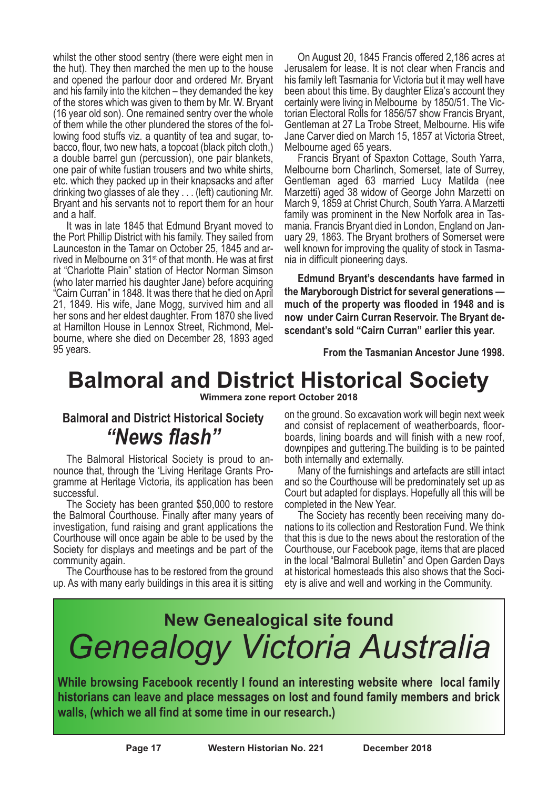whilst the other stood sentry (there were eight men in the hut). They then marched the men up to the house and opened the parlour door and ordered Mr. Bryant and his family into the kitchen – they demanded the key of the stores which was given to them by Mr. W. Bryant (16 year old son). One remained sentry over the whole of them while the other plundered the stores of the fol- lowing food stuffs viz. <sup>a</sup> quantity of tea and sugar, to- bacco, flour, two new hats, <sup>a</sup> topcoat (black pitch cloth,) <sup>a</sup> double barrel gun (percussion), one pair blankets, one pair of white fustian trousers and two white shirts, etc. which they packed up in their knapsacks and after drinking two glasses of ale they . . . (left) cautioning Mr. Bryant and his servants not to report them for an hour and a half.

It was in late 1845 that Edmund Bryant moved to the Port Phillip District with his family. They sailed from Launceston in the Tamar on October 25, 1845 and arrived in Melbourne on 31<sup>st</sup> of that month. He was at first at "Charlotte Plain" station of Hector Norman Simson (who later married his daughter Jane) before acquiring "Cairn Curran" in 1848. It was there that he died on April 21, 1849. His wife, Jane Mogg, survived him and all her sons and her eldest daughter. From 1870 she lived at Hamilton House in Lennox Street, Richmond, Melbourne, where she died on December 28, 1893 aged 95 years.

On August 20, 1845 Francis offered 2,186 acres at Jerusalem for lease. It is not clear when Francis and his family left Tasmania for Victoria but it may well have been about this time. By daughter Eliza's account they certainly were living in Melbourne by 1850/51. The Victorian Electoral Rolls for 1856/57 show Francis Bryant, Gentleman at 27 La Trobe Street, Melbourne. His wife Jane Carver died on March 15, 1857 at Victoria Street, Melbourne aged 65 years.

Francis Bryant of Spaxton Cottage, South Yarra, Melbourne born Charlinch, Somerset, late of Surrey, Gentleman aged 63 married Lucy Matilda (nee Marzetti) aged 38 widow of George John Marzetti on March 9, 1859 at Christ Church, South Yarra, A Marzetti family was prominent in the New Norfolk area in Tasmania. Francis Bryant died in London, England on January 29, 1863. The Bryant brothers of Somerset were well known for improving the quality of stock in Tasmania in difficult pioneering days.

**Edmund Bryant's descendants have farmed in the Maryborough District for several generations much of the property was flooded in 1948 and is now under Cairn Curran Reservoir. The Bryant descendant's sold "Cairn Curran" earlier this year.**

**From the Tasmanian Ancestor June 1998.**

#### **Balmoral and District Historical Society**

**Wimmera zone report October 2018**

#### **Balmoral and District Historical Society** *"News flash"*

The Balmoral Historical Society is proud to announce that, through the 'Living Heritage Grants Programme at Heritage Victoria, its application has been successful.

The Society has been granted \$50,000 to restore the Balmoral Courthouse. Finally after many years of investigation, fund raising and grant applications the Courthouse will once again be able to be used by the Society for displays and meetings and be part of the community again.

The Courthouse has to be restored from the ground up. As with many early buildings in this area it is sitting

on the ground. So excavation work will begin next week and consist of replacement of weatherboards, floorboards, lining boards and will finish with a new roof, downpipes and guttering.The building is to be painted both internally and externally.

Many of the furnishings and artefacts are still intact and so the Courthouse will be predominately set up as Court but adapted for displays. Hopefully all this will be completed in the New Year.

The Society has recently been receiving many donations to its collection and Restoration Fund. We think that this is due to the news about the restoration of the Courthouse, our Facebook page, items that are placed in the local "Balmoral Bulletin" and Open Garden Days at historical homesteads this also shows that the Society is alive and well and working in the Community.

# **New Genealogical site found** *Genealogy Victoria Australia*

**While browsing Facebook recently I found an interesting website where local family historians can leave and place messages on lost and found family members and brick walls, (which we all find at some time in our research.)**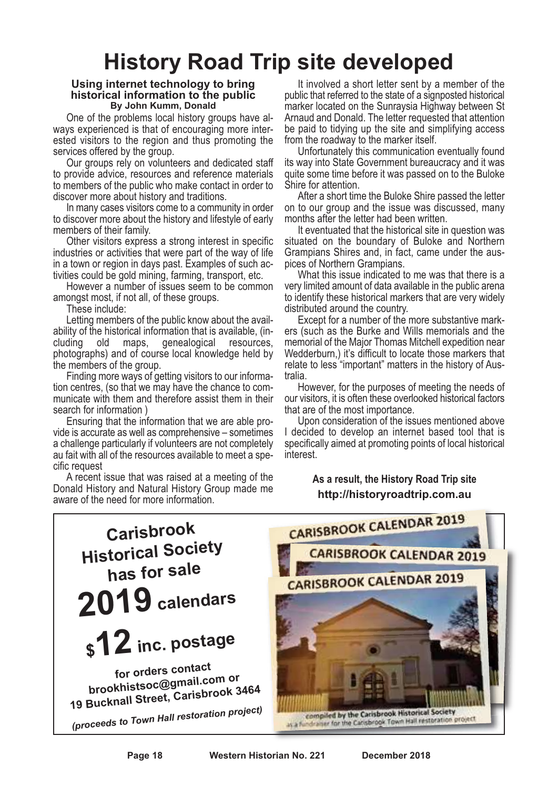## **History Road Trip site developed**

#### **Using internet technology to bring historical information to the public By John Kumm, Donald**

One of the problems local history groups have always experienced is that of encouraging more interested visitors to the region and thus promoting the

services offered by the group. Our groups rely on volunteers and dedicated staff to provide advice, resources and reference materials to members of the public who make contact in order to discover more about history and traditions.

In many cases visitors come to a community in order to discover more about the history and lifestyle of early members of their family.

Other visitors express a strong interest in specific industries or activities that were part of the way of life in a town or region in days past. Examples of such activities could be gold mining, farming, transport, etc.

However a number of issues seem to be common amongst most, if not all, of these groups.

These include:

Letting members of the public know about the availability of the historical information that is available, (including old maps, genealogical resources, photographs) and of course local knowledge held by the members of the group.

Finding more ways of getting visitors to our information centres, (so that we may have the chance to communicate with them and therefore assist them in their search for information )

Ensuring that the information that we are able provide is accurate as well as comprehensive – sometimes a challenge particularly if volunteers are not completely au fait with all of the resources available to meet <sup>a</sup> spe- cific request

A recent issue that was raised at a meeting of the Donald History and Natural History Group made me aware of the need for more information.

It involved a short letter sent by a member of the public that referred to the state of a signposted historical marker located on the Sunraysia Highway between St Arnaud and Donald. The letter requested that attention be paid to tidying up the site and simplifying access from the roadway to the marker itself.

Unfortunately this communication eventually found its way into State Government bureaucracy and it was quite some time before it was passed on to the Buloke Shire for attention.

After a short time the Buloke Shire passed the letter on to our group and the issue was discussed, many months after the letter had been written.

It eventuated that the historical site in question was situated on the boundary of Buloke and Northern Grampians Shires and, in fact, came under the auspices of Northern Grampians.

What this issue indicated to me was that there is a very limited amount of data available in the public arena to identify these historical markers that are very widely

distributed around the country. Except for <sup>a</sup> number of the more substantive mark- ers (such as the Burke and Wills memorials and the memorial of the Major Thomas Mitchell expedition near Wedderburn,) it's difficult to locate those markers that relate to less "important" matters in the history of Aus-<br>tralia

However, for the purposes of meeting the needs of our visitors, it is often these overlooked historical factors that are of the most importance. Upon consideration of the issues mentioned above

I decided to develop an internet based tool that is specifically aimed at promoting points of local historical interest.

#### **As a result, the History Road Trip site http://historyroadtrip.com.au**

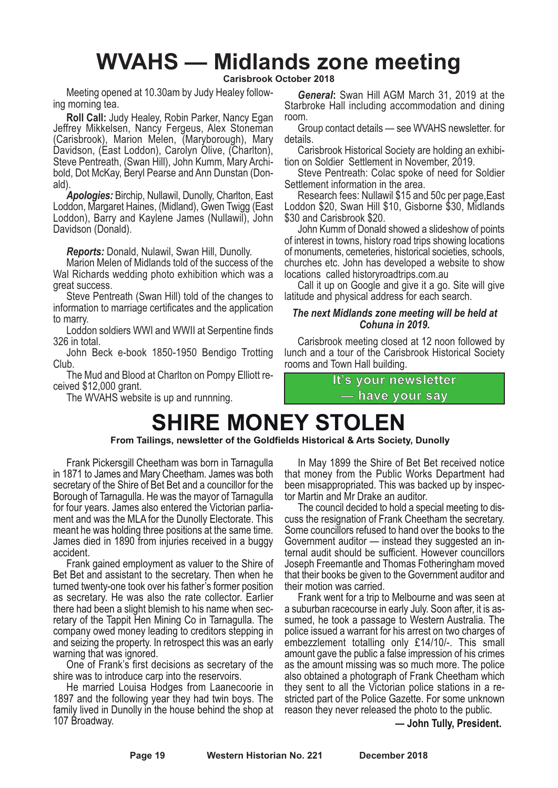## **WVAHS — Midlands zone meeting**

**Carisbrook October 2018**

Meeting opened at 10.30am by Judy Healey following morning tea.

**Roll Call:** Judy Healey, Robin Parker, Nancy Egan Jeffrey Mikkelsen, Nancy Fergeus, Alex Stoneman (Carisbrook), Marion Melen, (Maryborough), Mary Davidson, (East Loddon), Carolyn Olive, (Charlton), Steve Pentreath, (Swan Hill), John Kumm, Mary Archibold, Dot McKay, Beryl Pearse and Ann Dunstan (Donald).

*Apologies:* Birchip, Nullawil, Dunolly, Charlton, East Loddon, Margaret Haines, (Midland), Gwen Twigg (East Loddon), Barry and Kaylene James (Nullawil), John Davidson (Donald).

*Reports:* Donald, Nulawil, Swan Hill, Dunolly. Marion Melen of Midlands told of the success of the Wal Richards wedding photo exhibition which was a

great success.<br>Steve Pentreath (Swan Hill) told of the changes to information to marriage certificates and the application

to marry. Loddon soldiers WWI and WWII at Serpentine finds <sup>326</sup> in total. John Beck e-book 1850-1950 Bendigo Trotting

Club.

The Mud and Blood at Charlton on Pompy Elliott received \$12,000 grant.<br>The WVAHS website is up and runnning.

*General***:** Swan Hill AGM March 31, 2019 at the Starbroke Hall including accommodation and dining room.

Group contact details — see WVAHS newsletter. for

details.<br>Carisbrook Historical Society are holding an exhibi-<br>tion on Soldier Settlement in November, 2019.<br>Steve Pentreath: Colac spoke of need for Soldier

Settlement information in the area.

Research fees: Nullawil \$15 and 50c per page,East Loddon \$20, Swan Hill \$10, Gisborne \$30, Midlands \$30 and Carisbrook \$20.

John Kumm of Donald showed a slideshow of points of interest in towns, history road trips showing locations of monuments, cemeteries, historical societies, schools, churches etc. John has developed a website to show locations called historyroadtrips.com.au

Call it up on Google and give it a go. Site will give latitude and physical address for each search.

#### *The next Midlands zone meeting will be held at Cohuna in 2019.*

Carisbrook meeting closed at 12 noon followed by lunch and a tour of the Carisbrook Historical Society rooms and Town Hall building.

**It's your newsletter**

**— have your say**

### **SHIRE MONEY STOLEN**

**From Tailings, newsletter of the Goldfields Historical & Arts Society, Dunolly**

Frank Pickersgill Cheetham was born in Tarnagulla in 1871 to James and Mary Cheetham. James was both secretary of the Shire of Bet Bet and a councillor for the Borough of Tarnagulla. He was the mayor of Tarnagulla for four years. James also entered the Victorian parliament and was the MLA for the Dunolly Electorate. This meant he was holding three positions at the same time. James died in 1890 from injuries received in a buggy accident.

Frank gained employment as valuer to the Shire of Bet Bet and assistant to the secretary. Then when he turned twenty-one took over his father's former position as secretary. He was also the rate collector. Earlier there had been a slight blemish to his name when secretary of the Tappit Hen Mining Co in Tarnagulla. The company owed money leading to creditors stepping in and seizing the property. In retrospect this was an early warning that was ignored.

One of Frank's first decisions as secretary of the shire was to introduce carp into the reservoirs.

He married Louisa Hodges from Laanecoorie in 1897 and the following year they had twin boys. The family lived in Dunolly in the house behind the shop at 107 Broadway.

In May 1899 the Shire of Bet Bet received notice that money from the Public Works Department had been misappropriated. This was backed up by inspector Martin and Mr Drake an auditor.

The council decided to hold a special meeting to discuss the resignation of Frank Cheetham the secretary. Some councillors refused to hand over the books to the Government auditor — instead they suggested an internal audit should be sufficient. However councillors Joseph Freemantle and Thomas Fotheringham moved that their books be given to the Government auditor and their motion was carried.

Frank went for a trip to Melbourne and was seen at a suburban racecourse in early July. Soon after, it is assumed, he took a passage to Western Australia. The police issued a warrant for his arrest on two charges of embezzlement totalling only £14/10/-. This small amount gave the public a false impression of his crimes as the amount missing was so much more. The police also obtained a photograph of Frank Cheetham which they sent to all the Victorian police stations in a restricted part of the Police Gazette. For some unknown reason they never released the photo to the public.

**— John Tully, President.**